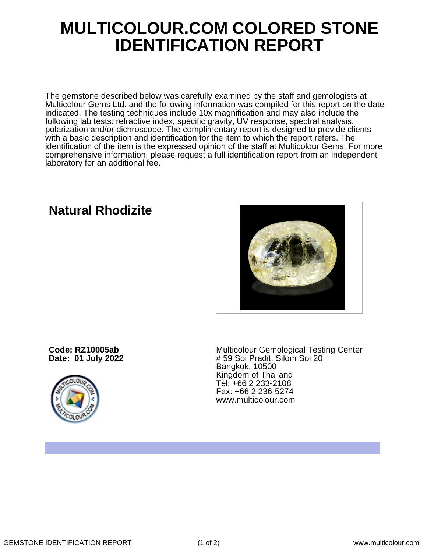## **MULTICOLOUR.COM COLORED STONE IDENTIFICATION REPORT**

The gemstone described below was carefully examined by the staff and gemologists at Multicolour Gems Ltd. and the following information was compiled for this report on the date indicated. The testing techniques include 10x magnification and may also include the following lab tests: refractive index, specific gravity, UV response, spectral analysis, polarization and/or dichroscope. The complimentary report is designed to provide clients with a basic description and identification for the item to which the report refers. The identification of the item is the expressed opinion of the staff at Multicolour Gems. For more comprehensive information, please request a full identification report from an independent laboratory for an additional fee.

## **Natural Rhodizite**



**Code: RZ10005ab Date: 01 July 2022**



Multicolour Gemological Testing Center # 59 Soi Pradit, Silom Soi 20 Bangkok, 10500 Kingdom of Thailand Tel: +66 2 233-2108 Fax: +66 2 236-5274 www.multicolour.com